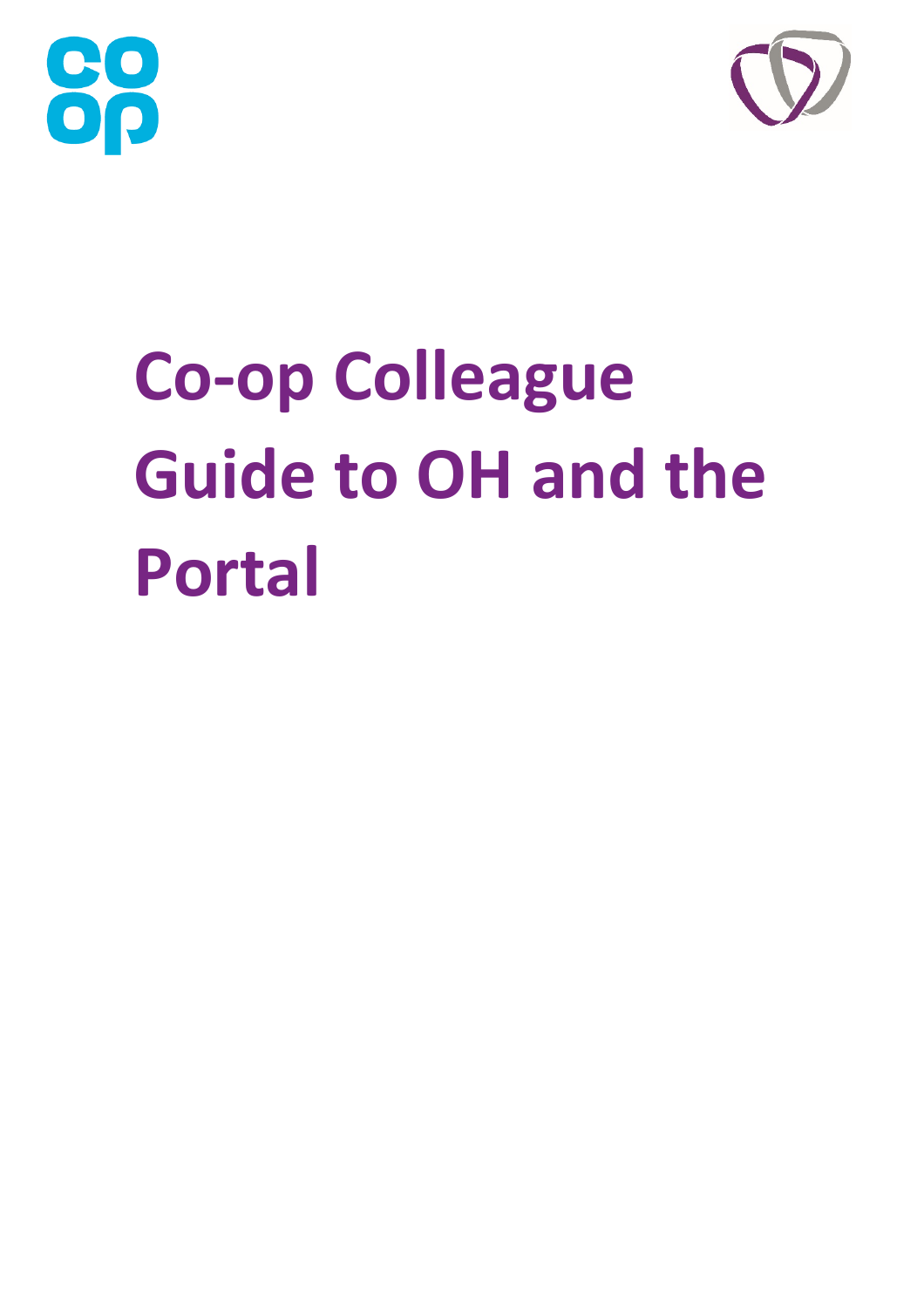



# **Co-op Colleague Guide to OH and the Portal**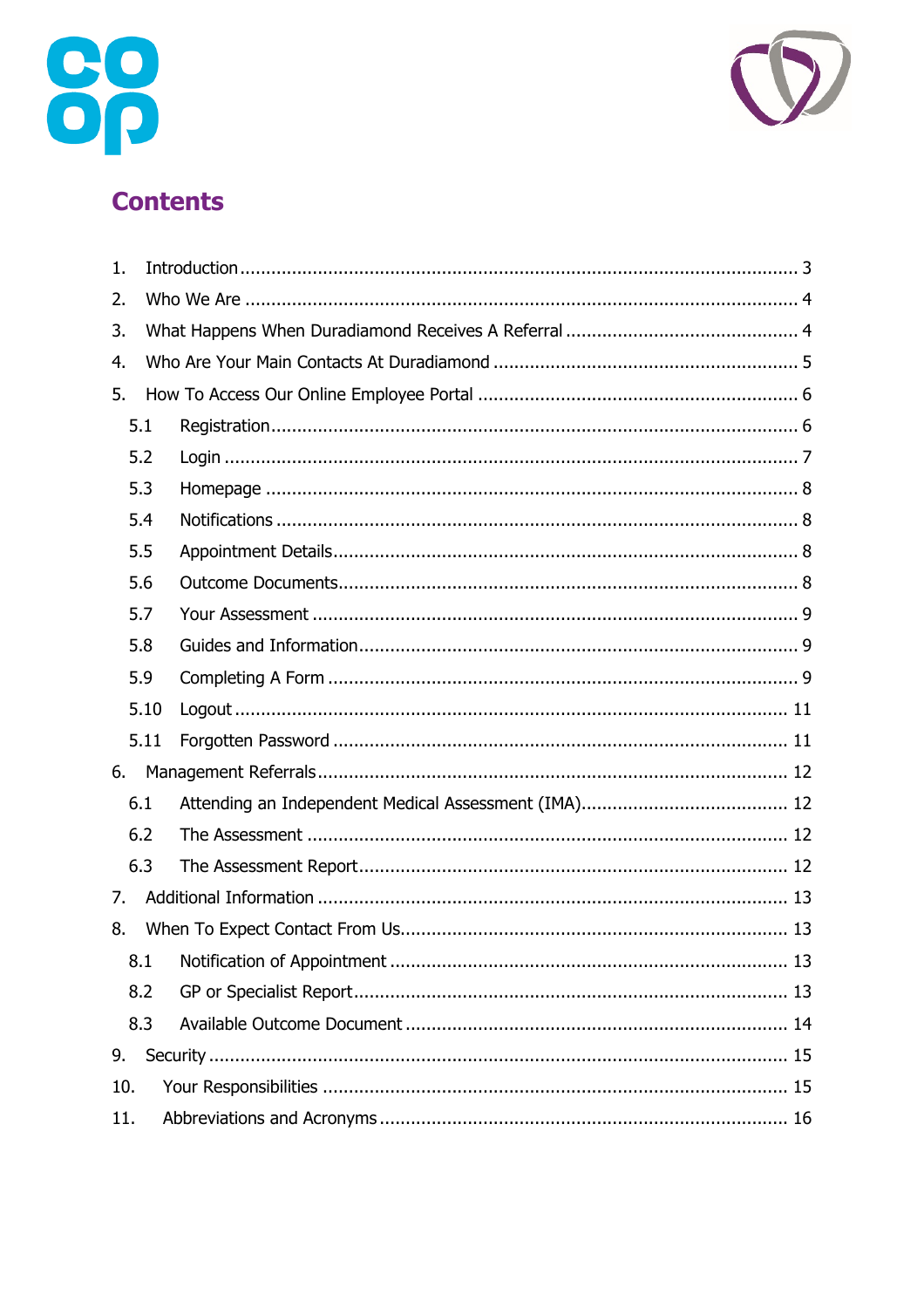



# **Contents**

| 1.  |      |  |  |  |  |
|-----|------|--|--|--|--|
| 2.  |      |  |  |  |  |
| 3.  |      |  |  |  |  |
| 4.  |      |  |  |  |  |
| 5.  |      |  |  |  |  |
|     | 5.1  |  |  |  |  |
|     | 5.2  |  |  |  |  |
|     | 5.3  |  |  |  |  |
|     | 5.4  |  |  |  |  |
|     | 5.5  |  |  |  |  |
|     | 5.6  |  |  |  |  |
|     | 5.7  |  |  |  |  |
|     | 5.8  |  |  |  |  |
|     | 5.9  |  |  |  |  |
|     | 5.10 |  |  |  |  |
|     | 5.11 |  |  |  |  |
| 6.  |      |  |  |  |  |
|     | 6.1  |  |  |  |  |
|     | 6.2  |  |  |  |  |
|     | 6.3  |  |  |  |  |
| 7.  |      |  |  |  |  |
| 8.  |      |  |  |  |  |
|     | 8.1  |  |  |  |  |
|     | 8.2  |  |  |  |  |
|     | 8.3  |  |  |  |  |
| 9.  |      |  |  |  |  |
| 10. |      |  |  |  |  |
| 11. |      |  |  |  |  |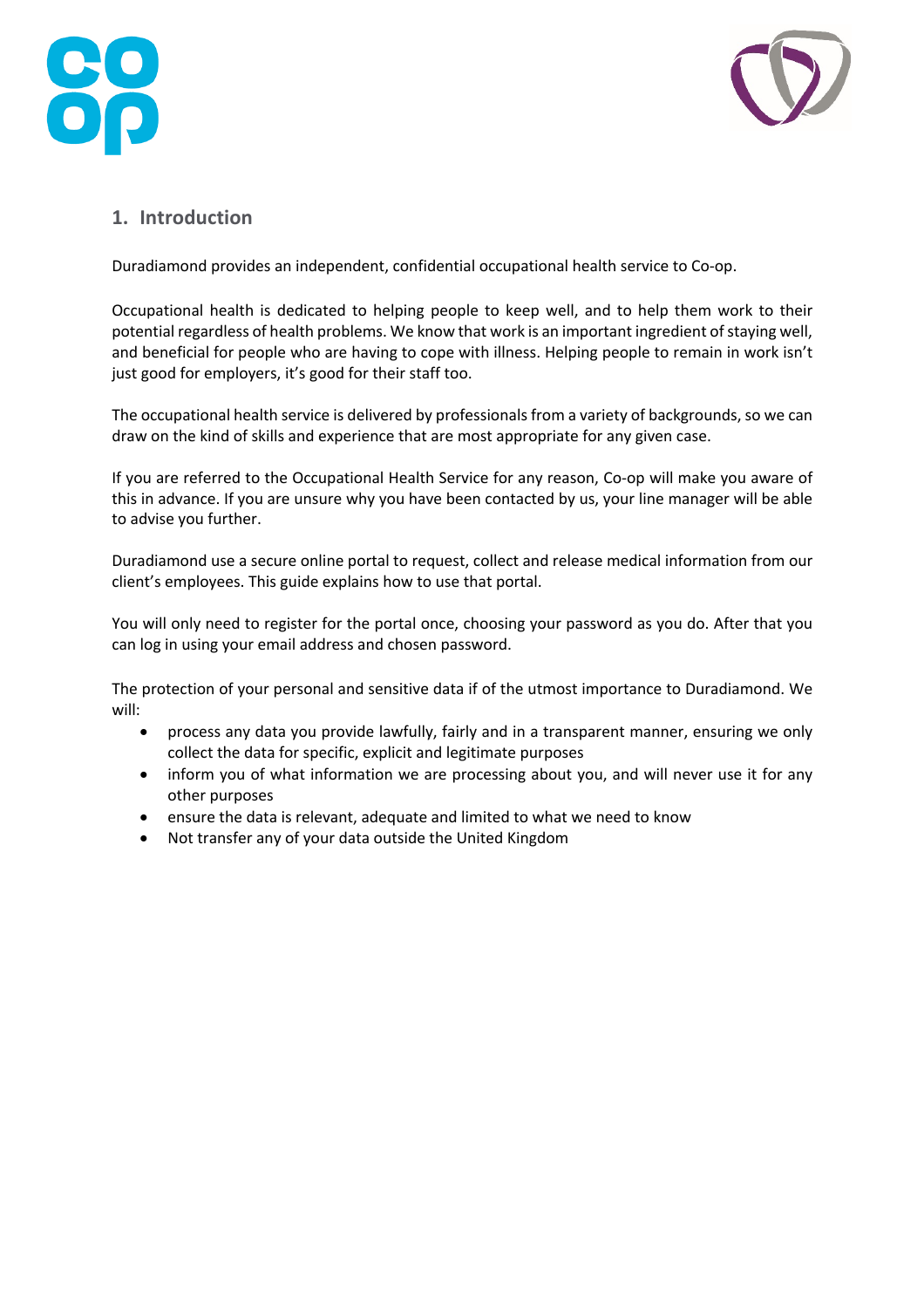



# **1. Introduction**

Duradiamond provides an independent, confidential occupational health service to Co-op.

Occupational health is dedicated to helping people to keep well, and to help them work to their potential regardless of health problems. We know that work is an important ingredient of staying well, and beneficial for people who are having to cope with illness. Helping people to remain in work isn't just good for employers, it's good for their staff too.

The occupational health service is delivered by professionals from a variety of backgrounds, so we can draw on the kind of skills and experience that are most appropriate for any given case.

If you are referred to the Occupational Health Service for any reason, Co-op will make you aware of this in advance. If you are unsure why you have been contacted by us, your line manager will be able to advise you further.

Duradiamond use a secure online portal to request, collect and release medical information from our client's employees. This guide explains how to use that portal.

You will only need to register for the portal once, choosing your password as you do. After that you can log in using your email address and chosen password.

The protection of your personal and sensitive data if of the utmost importance to Duradiamond. We will:

- process any data you provide lawfully, fairly and in a transparent manner, ensuring we only collect the data for specific, explicit and legitimate purposes
- inform you of what information we are processing about you, and will never use it for any other purposes
- ensure the data is relevant, adequate and limited to what we need to know
- Not transfer any of your data outside the United Kingdom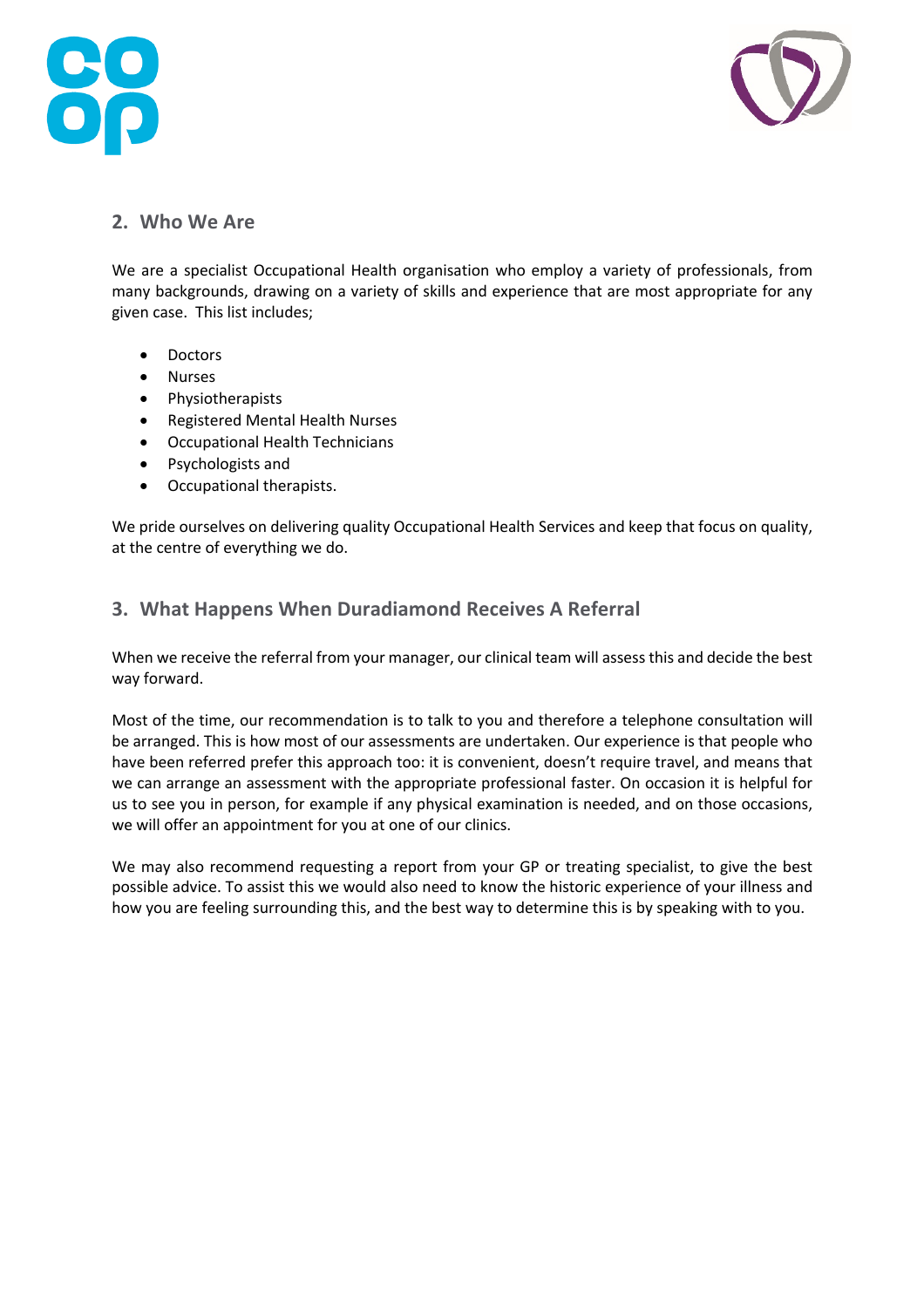



# **2. Who We Are**

We are a specialist Occupational Health organisation who employ a variety of professionals, from many backgrounds, drawing on a variety of skills and experience that are most appropriate for any given case. This list includes;

- Doctors
- Nurses
- Physiotherapists
- Registered Mental Health Nurses
- Occupational Health Technicians
- Psychologists and
- Occupational therapists.

We pride ourselves on delivering quality Occupational Health Services and keep that focus on quality, at the centre of everything we do.

## **3. What Happens When Duradiamond Receives A Referral**

When we receive the referral from your manager, our clinical team will assess this and decide the best way forward.

Most of the time, our recommendation is to talk to you and therefore a telephone consultation will be arranged. This is how most of our assessments are undertaken. Our experience is that people who have been referred prefer this approach too: it is convenient, doesn't require travel, and means that we can arrange an assessment with the appropriate professional faster. On occasion it is helpful for us to see you in person, for example if any physical examination is needed, and on those occasions, we will offer an appointment for you at one of our clinics.

We may also recommend requesting a report from your GP or treating specialist, to give the best possible advice. To assist this we would also need to know the historic experience of your illness and how you are feeling surrounding this, and the best way to determine this is by speaking with to you.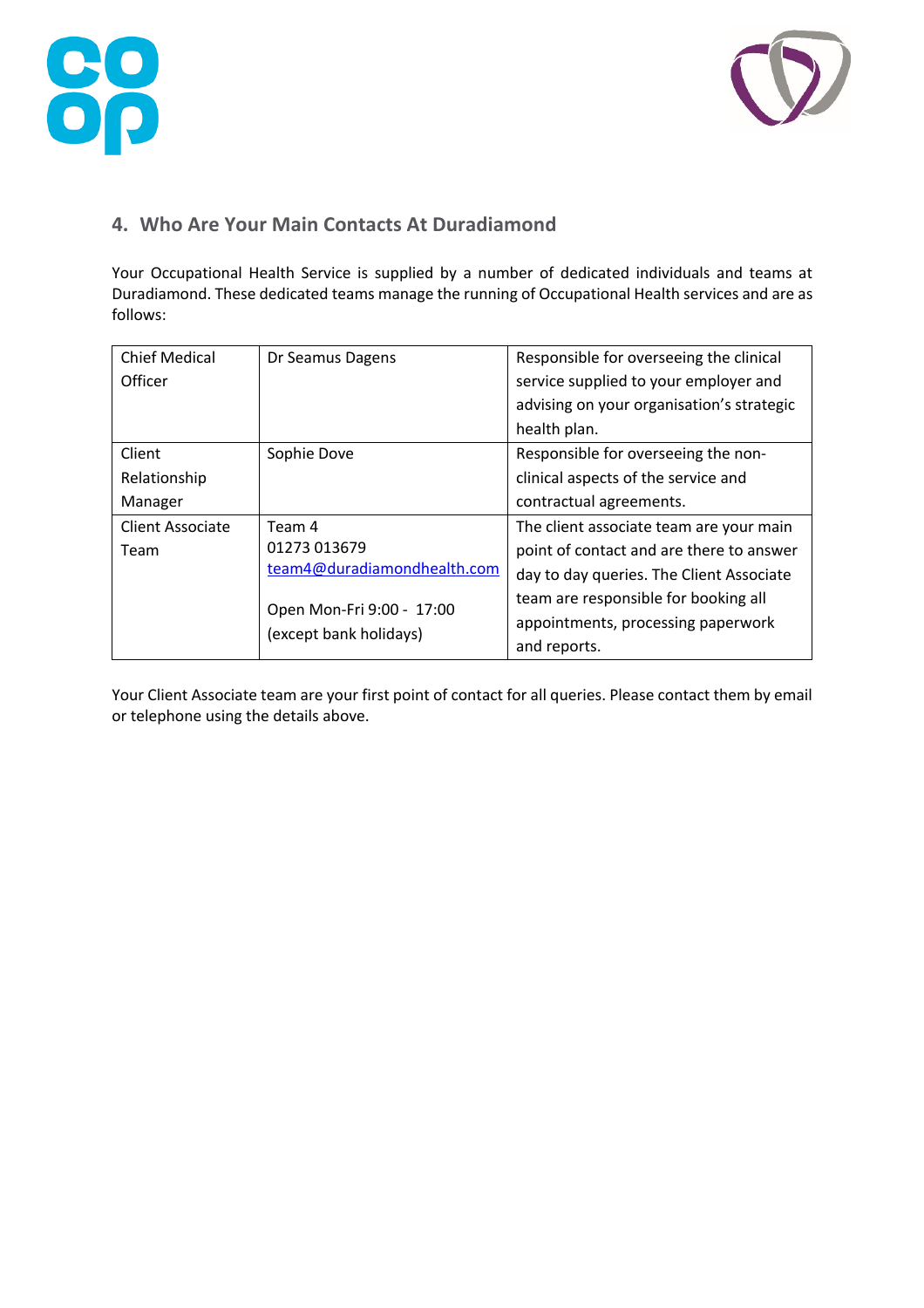



# **4. Who Are Your Main Contacts At Duradiamond**

Your Occupational Health Service is supplied by a number of dedicated individuals and teams at Duradiamond. These dedicated teams manage the running of Occupational Health services and are as follows:

| <b>Chief Medical</b> | Dr Seamus Dagens            | Responsible for overseeing the clinical   |
|----------------------|-----------------------------|-------------------------------------------|
| Officer              |                             | service supplied to your employer and     |
|                      |                             | advising on your organisation's strategic |
|                      |                             | health plan.                              |
| Client               | Sophie Dove                 | Responsible for overseeing the non-       |
| Relationship         |                             | clinical aspects of the service and       |
| Manager              |                             | contractual agreements.                   |
| Client Associate     | Team 4                      | The client associate team are your main   |
| Team                 | 01273 013679                | point of contact and are there to answer  |
|                      | team4@duradiamondhealth.com | day to day queries. The Client Associate  |
|                      | Open Mon-Fri 9:00 - 17:00   | team are responsible for booking all      |
|                      | (except bank holidays)      | appointments, processing paperwork        |
|                      |                             | and reports.                              |

Your Client Associate team are your first point of contact for all queries. Please contact them by email or telephone using the details above.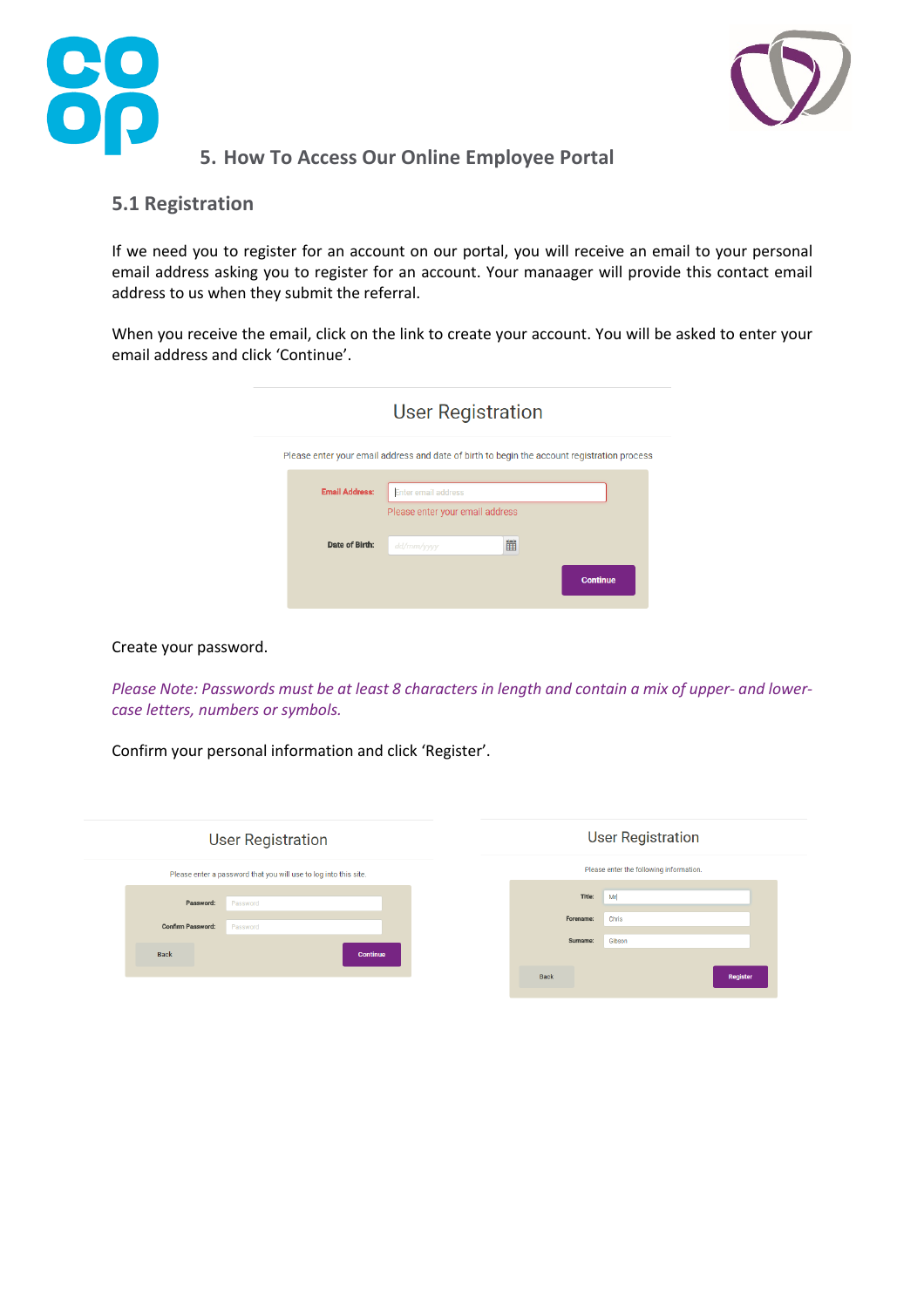



# **5. How To Access Our Online Employee Portal**

#### **5.1 Registration**

If we need you to register for an account on our portal, you will receive an email to your personal email address asking you to register for an account. Your manaager will provide this contact email address to us when they submit the referral.

When you receive the email, click on the link to create your account. You will be asked to enter your email address and click 'Continue'.

| <b>User Registration</b>                                                                    |            |   |                 |  |
|---------------------------------------------------------------------------------------------|------------|---|-----------------|--|
| Please enter your email address and date of birth to begin the account registration process |            |   |                 |  |
| <b>Email Address:</b><br><b>Enter email address</b><br>Please enter your email address      |            |   |                 |  |
| Date of Birth:                                                                              | dd/mm/yyyy | 雦 |                 |  |
|                                                                                             |            |   | <b>Continue</b> |  |

Create your password.

*Please Note: Passwords must be at least 8 characters in length and contain a mix of upper- and lowercase letters, numbers or symbols.*

Confirm your personal information and click 'Register'.

| <b>User Registration</b>                                         | <b>User Registration</b>                |  |
|------------------------------------------------------------------|-----------------------------------------|--|
| Please enter a password that you will use to log into this site. | Please enter the following information. |  |
| Password:                                                        | Title:                                  |  |
| Password                                                         | Mr                                      |  |
| <b>Confirm Password:</b>                                         | Forename:                               |  |
| Password                                                         | Chris                                   |  |
| <b>Back</b>                                                      | Surname:                                |  |
| <b>Continue</b>                                                  | Gibson                                  |  |
|                                                                  | <b>Back</b><br>Register                 |  |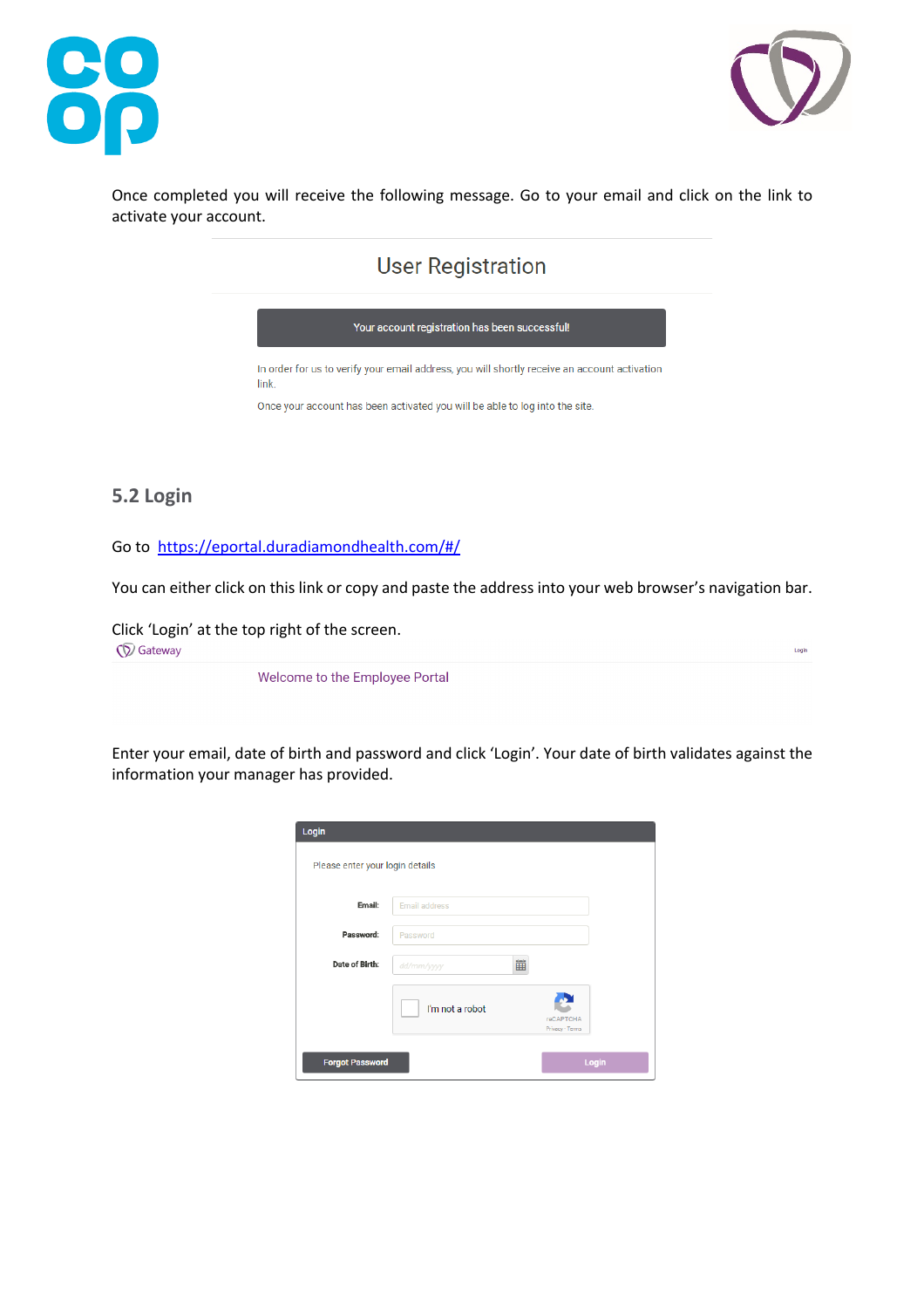



Login

Once completed you will receive the following message. Go to your email and click on the link to activate your account.

# **User Registration**



# **5.2 Login**

Go to https://eportal.duradiamondhealth.com/#/

You can either click on this link or copy and paste the address into your web browser's navigation bar.

Click 'Login' at the top right of the screen. **Q** Gateway

Welcome to the Employee Portal

Enter your email, date of birth and password and click 'Login'. Your date of birth validates against the information your manager has provided.

| Login                           |                      |                              |
|---------------------------------|----------------------|------------------------------|
| Please enter your login details |                      |                              |
| Email:                          | <b>Email address</b> |                              |
| Password:                       | Password             |                              |
| Date of Birth:                  | 雦<br>dd/mm/yyyy      |                              |
|                                 | I'm not a robot      | reCAPTCHA<br>Privacy - Terms |
| <b>Forgot Password</b>          |                      | Login                        |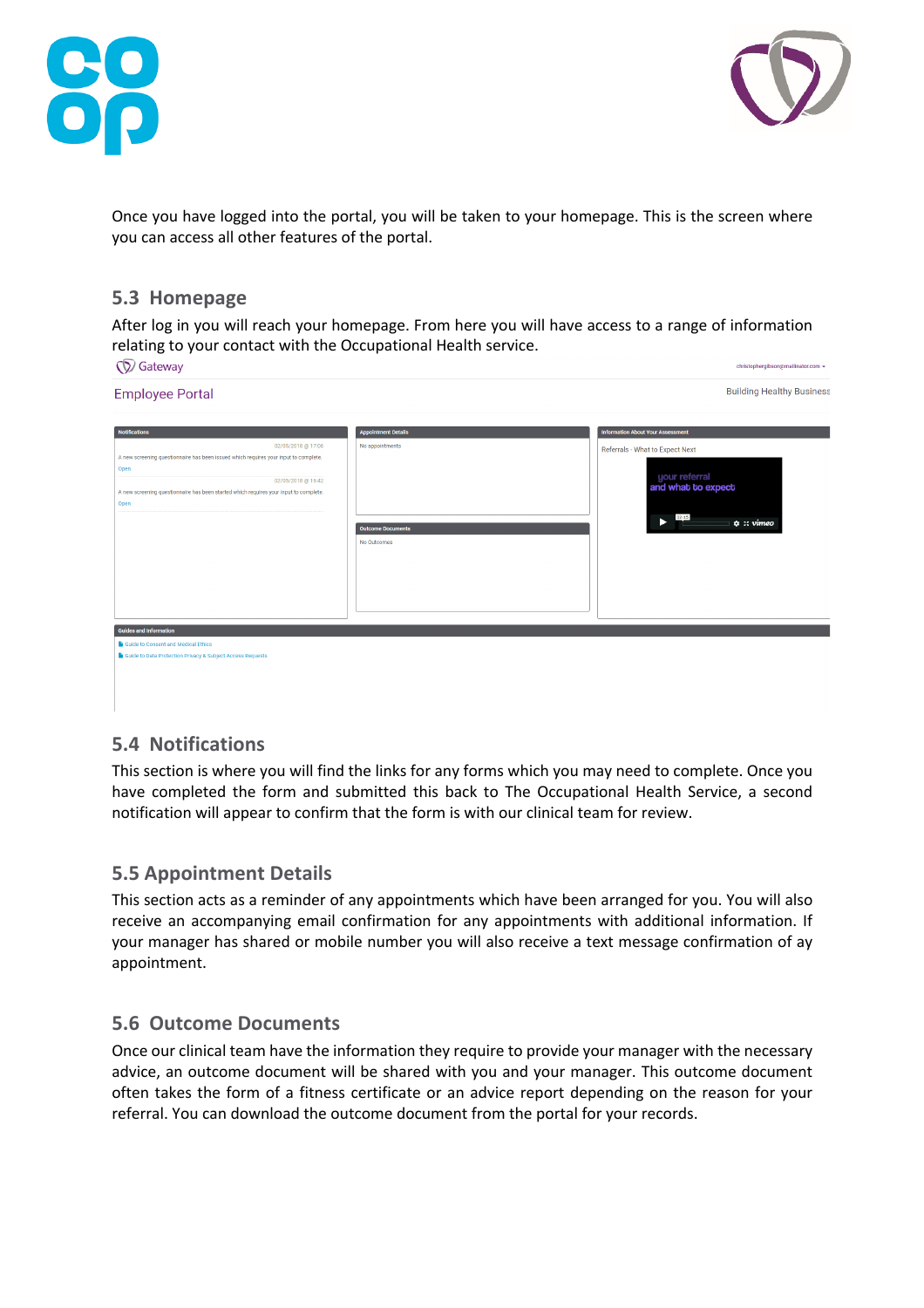



Once you have logged into the portal, you will be taken to your homepage. This is the screen where you can access all other features of the portal.

#### **5.3 Homepage**

After log in you will reach your homepage. From here you will have access to a range of information relating to your contact with the Occupational Health service.  $CDC<sub>atom</sub>$ 

| W Galeway                                                                                                                   |                                         | CHIStophergipson@manifator.com ▼                               |
|-----------------------------------------------------------------------------------------------------------------------------|-----------------------------------------|----------------------------------------------------------------|
| <b>Employee Portal</b>                                                                                                      |                                         | <b>Building Healthy Business</b>                               |
| <b>Notifications</b>                                                                                                        | <b>Appointment Details</b>              | <b>Information About Your Assessment</b>                       |
| 02/05/2018 @ 17:06                                                                                                          | No appointments                         | Referrals - What to Expect Next                                |
| A new screening questionnaire has been issued which requires your input to complete.                                        |                                         |                                                                |
| Open<br>02/05/2018 @ 16:42<br>A new screening questionnaire has been started which requires your input to complete.<br>Open | <b>Outcome Documents</b><br>No Outcomes | your referral<br>and what to expect<br>03:15<br>$\phi$ : vimeo |
| <b>Guides and Information</b>                                                                                               |                                         |                                                                |
| Guide to Consent and Medical Ethics                                                                                         |                                         |                                                                |
| Guide to Data Protection Privacy & Subject Access Requests                                                                  |                                         |                                                                |
|                                                                                                                             |                                         |                                                                |

# **5.4 Notifications**

This section is where you will find the links for any forms which you may need to complete. Once you have completed the form and submitted this back to The Occupational Health Service, a second notification will appear to confirm that the form is with our clinical team for review.

#### **5.5 Appointment Details**

This section acts as a reminder of any appointments which have been arranged for you. You will also receive an accompanying email confirmation for any appointments with additional information. If your manager has shared or mobile number you will also receive a text message confirmation of ay appointment.

#### **5.6 Outcome Documents**

Once our clinical team have the information they require to provide your manager with the necessary advice, an outcome document will be shared with you and your manager. This outcome document often takes the form of a fitness certificate or an advice report depending on the reason for your referral. You can download the outcome document from the portal for your records.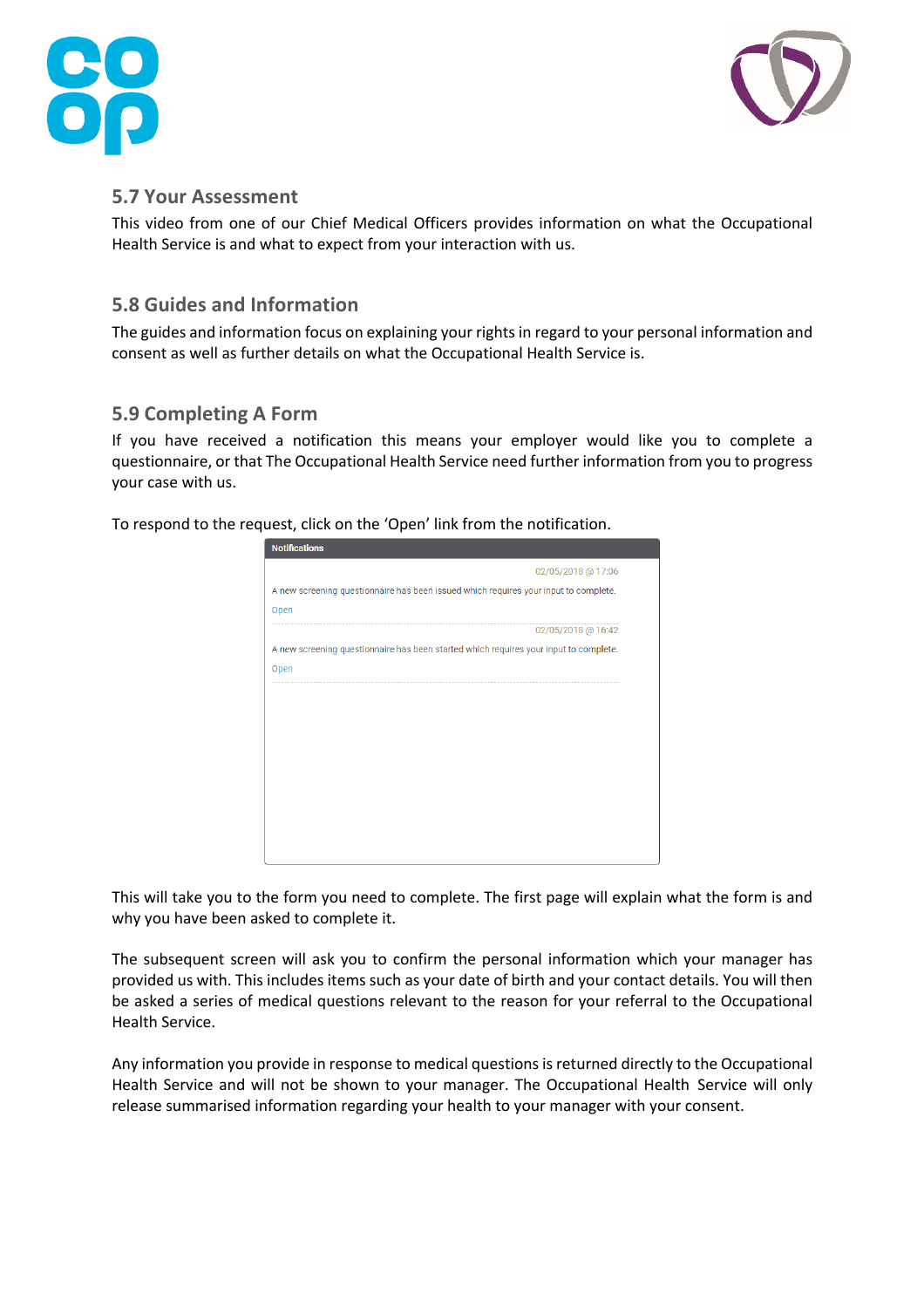



#### **5.7 Your Assessment**

This video from one of our Chief Medical Officers provides information on what the Occupational Health Service is and what to expect from your interaction with us.

#### **5.8 Guides and Information**

The guides and information focus on explaining your rights in regard to your personal information and consent as well as further details on what the Occupational Health Service is.

## **5.9 Completing A Form**

If you have received a notification this means your employer would like you to complete a questionnaire, or that The Occupational Health Service need further information from you to progress your case with us.

To respond to the request, click on the 'Open' link from the notification.

| <b>Notifications</b>                                                                  |
|---------------------------------------------------------------------------------------|
| 02/05/2018 @ 17:06                                                                    |
| A new screening questionnaire has been issued which requires your input to complete.  |
| Open                                                                                  |
| 02/05/2018 @ 16:42                                                                    |
| A new screening questionnaire has been started which requires your input to complete. |
| Open                                                                                  |
|                                                                                       |
|                                                                                       |
|                                                                                       |
|                                                                                       |
|                                                                                       |
|                                                                                       |
|                                                                                       |
|                                                                                       |
|                                                                                       |

This will take you to the form you need to complete. The first page will explain what the form is and why you have been asked to complete it.

The subsequent screen will ask you to confirm the personal information which your manager has provided us with. This includes items such as your date of birth and your contact details. You will then be asked a series of medical questions relevant to the reason for your referral to the Occupational Health Service.

Any information you provide in response to medical questions is returned directly to the Occupational Health Service and will not be shown to your manager. The Occupational Health Service will only release summarised information regarding your health to your manager with your consent.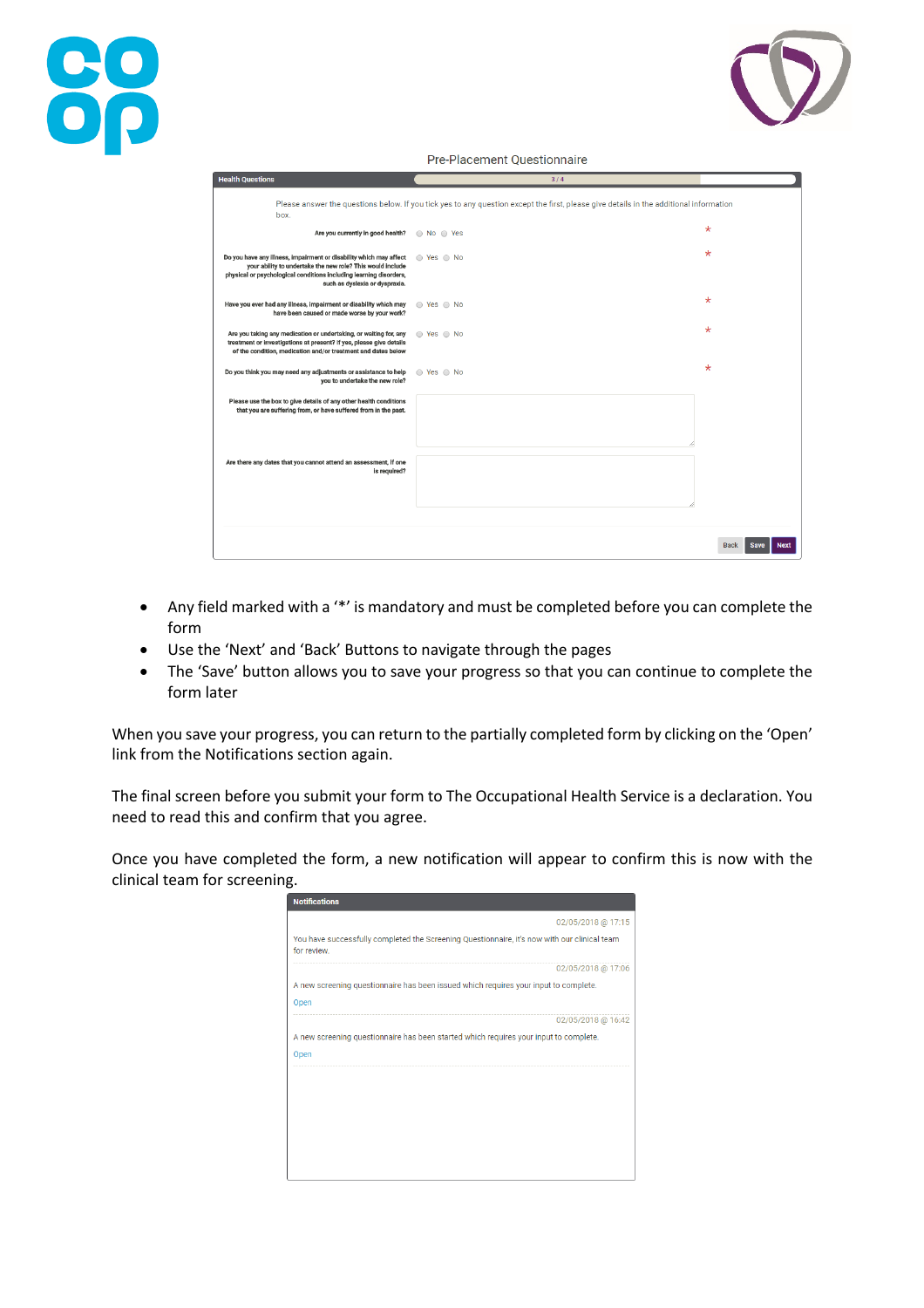

Pre-Placement Questionnaire

| <b>Health Questions</b>                                                                                                                                                                                                                  | 3/4                    |                                           |
|------------------------------------------------------------------------------------------------------------------------------------------------------------------------------------------------------------------------------------------|------------------------|-------------------------------------------|
| Please answer the questions below. If you tick yes to any question except the first, please give details in the additional information<br>box.                                                                                           |                        |                                           |
| Are you currently in good health?                                                                                                                                                                                                        | ◯ No ◯ Yes             | $^\star$                                  |
| Do you have any illness, impairment or disability which may affect<br>your ability to undertake the new role? This would include<br>physical or psychological conditions including learning disorders,<br>such as dyslexia or dyspraxia. | $\circ$ Yes $\circ$ No | $\star$                                   |
| Have you ever had any illness, impairment or disability which may<br>have been caused or made worse by your work?                                                                                                                        | $\circ$ Yes $\circ$ No | $^\star$                                  |
| Are you taking any medication or undertaking, or waiting for, any<br>treatment or investigations at present? If yes, please give details<br>of the condition, medication and/or treatment and dates below                                | ⊙ Yes ⊙ No             | ∗                                         |
| Do you think you may need any adjustments or assistance to help<br>you to undertake the new role?                                                                                                                                        | $\circ$ Yes $\circ$ No | $\star$                                   |
| Please use the box to give details of any other health conditions<br>that you are suffering from, or have suffered from in the past.                                                                                                     |                        |                                           |
| Are there any dates that you cannot attend an assessment, if one<br>is required?                                                                                                                                                         |                        |                                           |
|                                                                                                                                                                                                                                          |                        |                                           |
|                                                                                                                                                                                                                                          |                        | <b>Back</b><br><b>Save</b><br><b>Next</b> |

- Any field marked with a '\*' is mandatory and must be completed before you can complete the form
- Use the 'Next' and 'Back' Buttons to navigate through the pages

**88** 

• The 'Save' button allows you to save your progress so that you can continue to complete the form later

When you save your progress, you can return to the partially completed form by clicking on the 'Open' link from the Notifications section again.

The final screen before you submit your form to The Occupational Health Service is a declaration. You need to read this and confirm that you agree.

Once you have completed the form, a new notification will appear to confirm this is now with the clinical team for screening.

| <b>Notifications</b>                                                                                        |                    |
|-------------------------------------------------------------------------------------------------------------|--------------------|
|                                                                                                             | 02/05/2018 @ 17:15 |
| You have successfully completed the Screening Questionnaire, it's now with our clinical team<br>for review. |                    |
|                                                                                                             | 02/05/2018 @ 17:06 |
| A new screening questionnaire has been issued which requires your input to complete.                        |                    |
| Open                                                                                                        |                    |
|                                                                                                             | 02/05/2018 @ 16:42 |
| A new screening questionnaire has been started which requires your input to complete.                       |                    |
| Open                                                                                                        |                    |
|                                                                                                             |                    |
|                                                                                                             |                    |
|                                                                                                             |                    |
|                                                                                                             |                    |
|                                                                                                             |                    |
|                                                                                                             |                    |
|                                                                                                             |                    |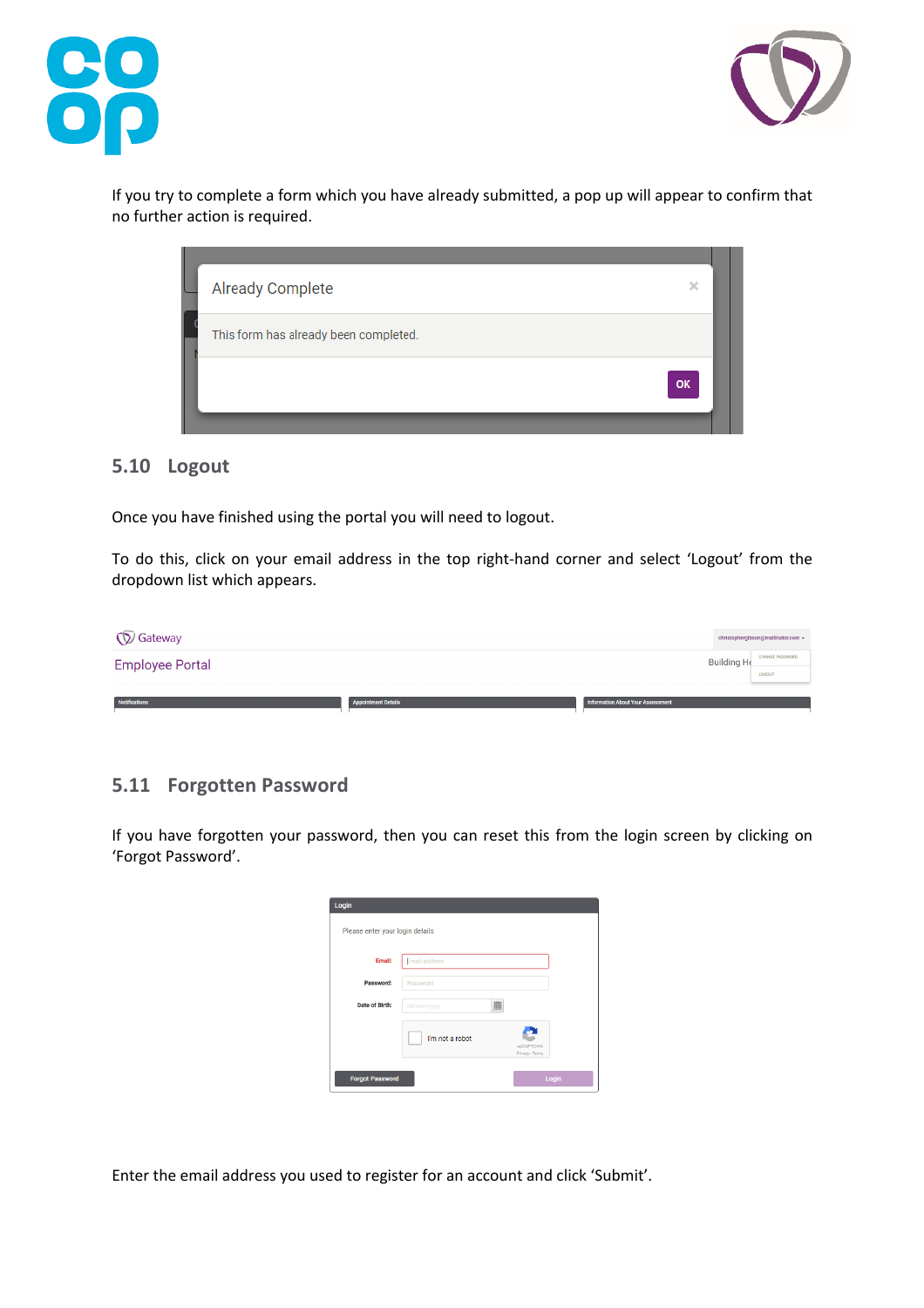



If you try to complete a form which you have already submitted, a pop up will appear to confirm that no further action is required.

| <b>Already Complete</b>               | ×  |
|---------------------------------------|----|
| This form has already been completed. |    |
|                                       | OK |

#### **5.10 Logout**

Once you have finished using the portal you will need to logout.

To do this, click on your email address in the top right-hand corner and select 'Logout' from the dropdown list which appears.

| <b>V</b> Gateway       |                            |                                   | christophergibson@mailinator.com +      |
|------------------------|----------------------------|-----------------------------------|-----------------------------------------|
| <b>Employee Portal</b> |                            | <b>Building He</b>                | <b>CHANGE PASSWORD</b><br><b>LOGOUT</b> |
| Notifications          | <b>Appointment Details</b> | Information About Your Assessment |                                         |

#### **5.11 Forgotten Password**

If you have forgotten your password, then you can reset this from the login screen by clicking on 'Forgot Password'.

| Login                           |                 |                              |
|---------------------------------|-----------------|------------------------------|
| Please enter your login details |                 |                              |
| Email:                          | Email address   |                              |
| Password:                       | Password        |                              |
| Date of Birth:                  | 筁<br>dd/mm/yyyy |                              |
|                                 | I'm not a robot | reCAPTCHA<br>Privacy - Terms |
| <b>Forgot Password</b>          |                 | Login                        |

Enter the email address you used to register for an account and click 'Submit'.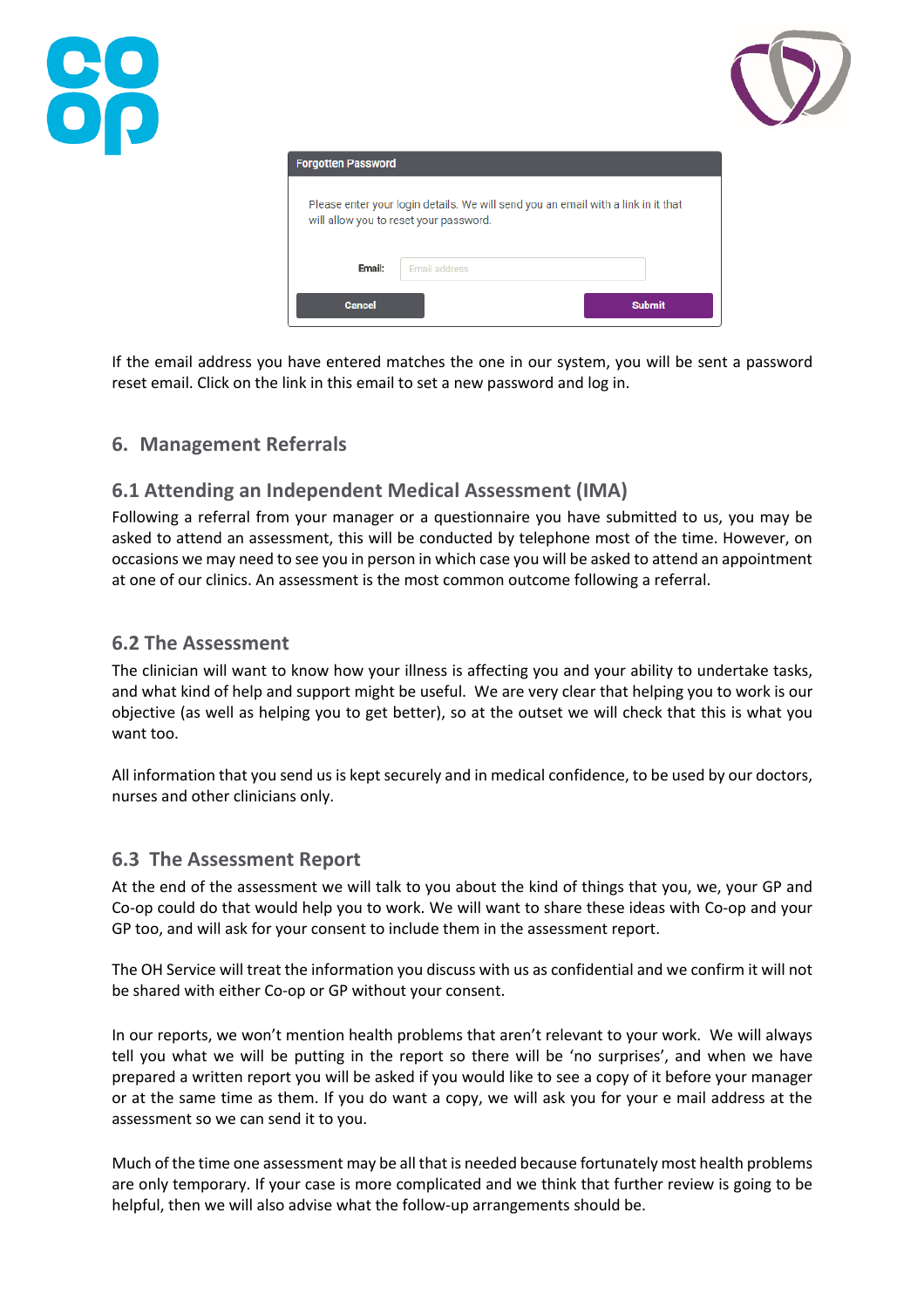



| <b>Forgotten Password</b> |                                                                                                                             |               |
|---------------------------|-----------------------------------------------------------------------------------------------------------------------------|---------------|
|                           | Please enter your login details. We will send you an email with a link in it that<br>will allow you to reset your password. |               |
| Email:                    | <b>Email address</b>                                                                                                        |               |
| Cancel                    |                                                                                                                             | <b>Submit</b> |

If the email address you have entered matches the one in our system, you will be sent a password reset email. Click on the link in this email to set a new password and log in.

# **6. Management Referrals**

# **6.1 Attending an Independent Medical Assessment (IMA)**

Following a referral from your manager or a questionnaire you have submitted to us, you may be asked to attend an assessment, this will be conducted by telephone most of the time. However, on occasions we may need to see you in person in which case you will be asked to attend an appointment at one of our clinics. An assessment is the most common outcome following a referral.

#### **6.2 The Assessment**

The clinician will want to know how your illness is affecting you and your ability to undertake tasks, and what kind of help and support might be useful. We are very clear that helping you to work is our objective (as well as helping you to get better), so at the outset we will check that this is what you want too.

All information that you send us is kept securely and in medical confidence, to be used by our doctors, nurses and other clinicians only.

## **6.3 The Assessment Report**

At the end of the assessment we will talk to you about the kind of things that you, we, your GP and Co-op could do that would help you to work. We will want to share these ideas with Co-op and your GP too, and will ask for your consent to include them in the assessment report.

The OH Service will treat the information you discuss with us as confidential and we confirm it will not be shared with either Co-op or GP without your consent.

In our reports, we won't mention health problems that aren't relevant to your work. We will always tell you what we will be putting in the report so there will be 'no surprises', and when we have prepared a written report you will be asked if you would like to see a copy of it before your manager or at the same time as them. If you do want a copy, we will ask you for your e mail address at the assessment so we can send it to you.

Much of the time one assessment may be all that is needed because fortunately most health problems are only temporary. If your case is more complicated and we think that further review is going to be helpful, then we will also advise what the follow-up arrangements should be.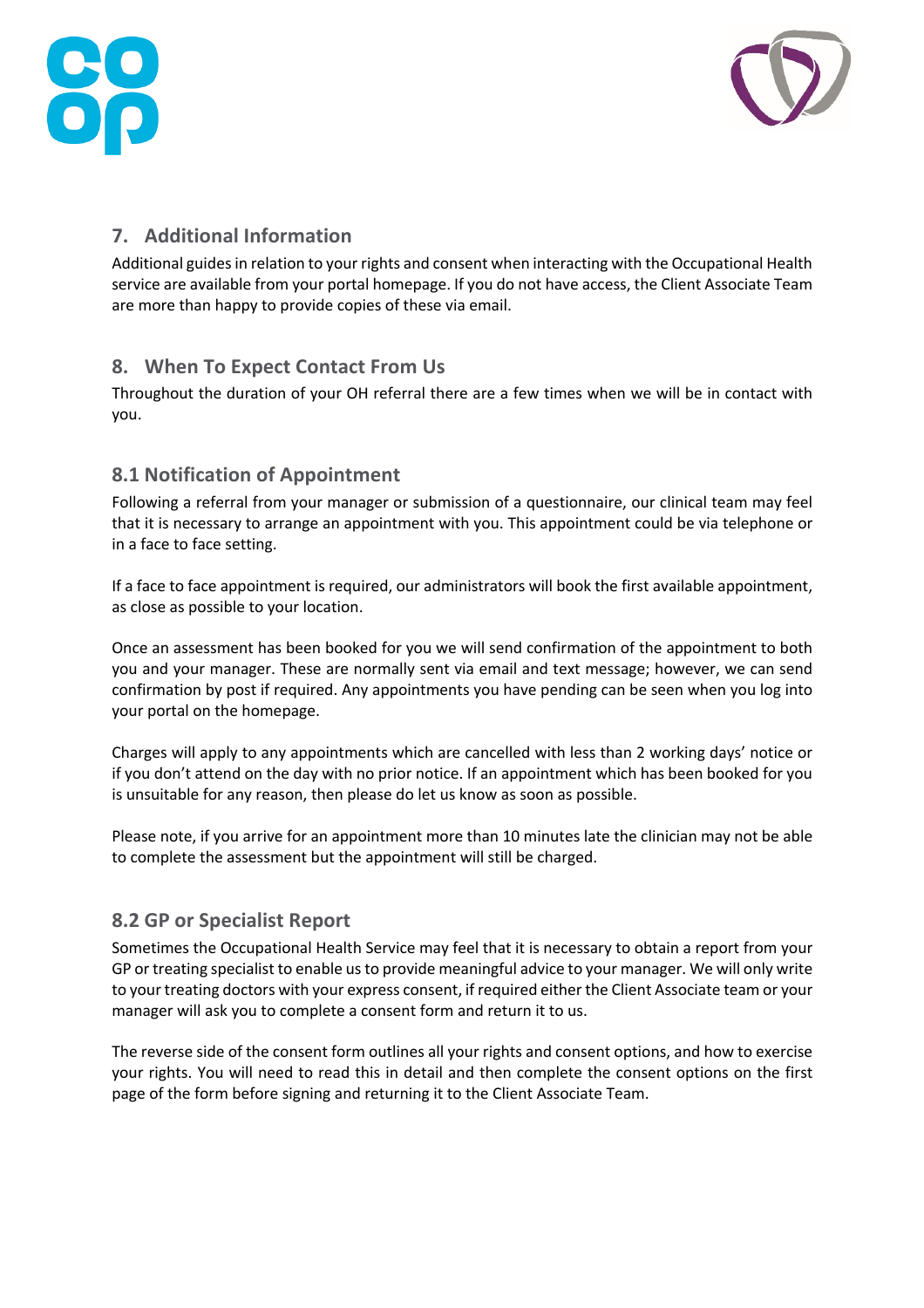



# **7. Additional Information**

Additional guides in relation to your rights and consent when interacting with the Occupational Health service are available from your portal homepage. If you do not have access, the Client Associate Team are more than happy to provide copies of these via email.

# **8. When To Expect Contact From Us**

Throughout the duration of your OH referral there are a few times when we will be in contact with you.

# **8.1 Notification of Appointment**

Following a referral from your manager or submission of a questionnaire, our clinical team may feel that it is necessary to arrange an appointment with you. This appointment could be via telephone or in a face to face setting.

If a face to face appointment is required, our administrators will book the first available appointment, as close as possible to your location.

Once an assessment has been booked for you we will send confirmation of the appointment to both you and your manager. These are normally sent via email and text message; however, we can send confirmation by post if required. Any appointments you have pending can be seen when you log into your portal on the homepage.

Charges will apply to any appointments which are cancelled with less than 2 working days' notice or if you don't attend on the day with no prior notice. If an appointment which has been booked for you is unsuitable for any reason, then please do let us know as soon as possible.

Please note, if you arrive for an appointment more than 10 minutes late the clinician may not be able to complete the assessment but the appointment will still be charged.

# **8.2 GP or Specialist Report**

Sometimes the Occupational Health Service may feel that it is necessary to obtain a report from your GP or treating specialist to enable us to provide meaningful advice to your manager. We will only write to your treating doctors with your express consent, if required either the Client Associate team or your manager will ask you to complete a consent form and return it to us.

The reverse side of the consent form outlines all your rights and consent options, and how to exercise your rights. You will need to read this in detail and then complete the consent options on the first page of the form before signing and returning it to the Client Associate Team.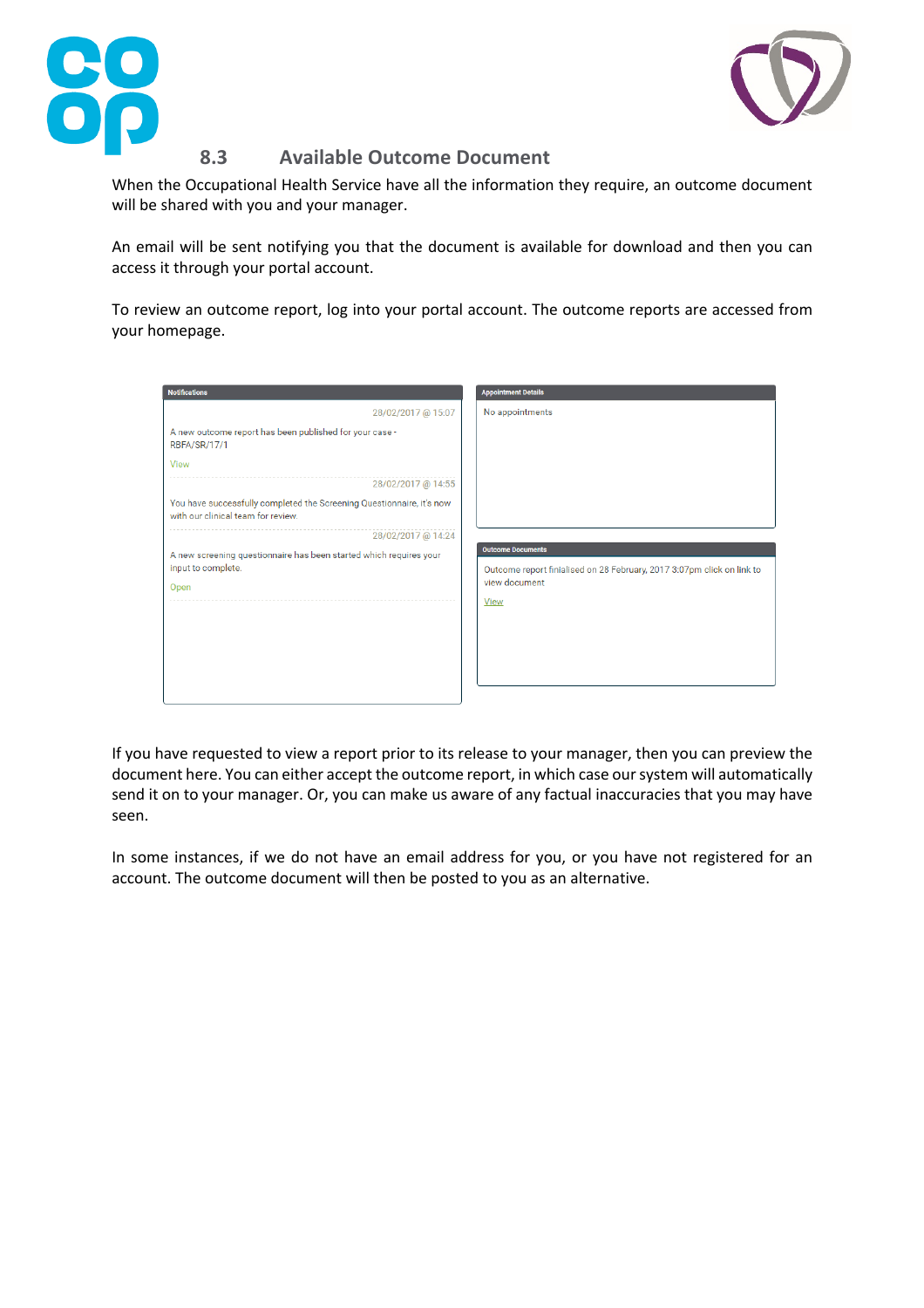



# **8.3 Available Outcome Document**

When the Occupational Health Service have all the information they require, an outcome document will be shared with you and your manager.

An email will be sent notifying you that the document is available for download and then you can access it through your portal account.

To review an outcome report, log into your portal account. The outcome reports are accessed from your homepage.

| <b>Notifications</b>                                                                                        | <b>Appointment Details</b>                                                                         |
|-------------------------------------------------------------------------------------------------------------|----------------------------------------------------------------------------------------------------|
| 28/02/2017 @ 15:07                                                                                          | No appointments                                                                                    |
| A new outcome report has been published for your case -<br><b>RBFA/SR/17/1</b>                              |                                                                                                    |
| View                                                                                                        |                                                                                                    |
| 28/02/2017 @ 14:55                                                                                          |                                                                                                    |
| You have successfully completed the Screening Questionnaire, it's now<br>with our clinical team for review. |                                                                                                    |
| 28/02/2017 @ 14:24                                                                                          |                                                                                                    |
| A new screening questionnaire has been started which requires your<br>input to complete.                    | <b>Outcome Documents</b><br>Outcome report finialised on 28 February, 2017 3:07pm click on link to |
| Open                                                                                                        | view document                                                                                      |
|                                                                                                             | <b>View</b>                                                                                        |
|                                                                                                             |                                                                                                    |
|                                                                                                             |                                                                                                    |
|                                                                                                             |                                                                                                    |
|                                                                                                             |                                                                                                    |

If you have requested to view a report prior to its release to your manager, then you can preview the document here. You can either accept the outcome report, in which case our system will automatically send it on to your manager. Or, you can make us aware of any factual inaccuracies that you may have seen.

In some instances, if we do not have an email address for you, or you have not registered for an account. The outcome document will then be posted to you as an alternative.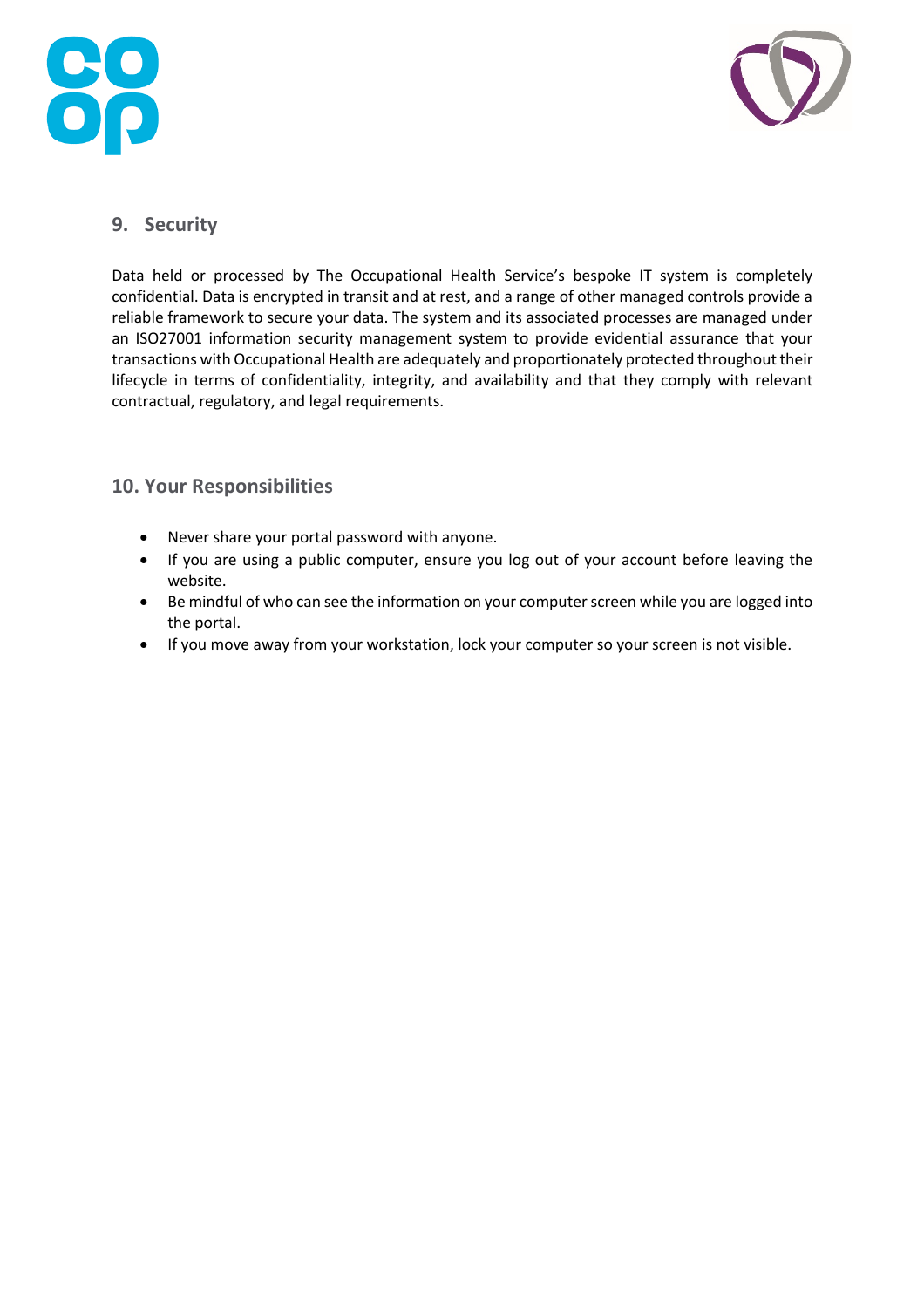



# **9. Security**

Data held or processed by The Occupational Health Service's bespoke IT system is completely confidential. Data is encrypted in transit and at rest, and a range of other managed controls provide a reliable framework to secure your data. The system and its associated processes are managed under an ISO27001 information security management system to provide evidential assurance that your transactions with Occupational Health are adequately and proportionately protected throughout their lifecycle in terms of confidentiality, integrity, and availability and that they comply with relevant contractual, regulatory, and legal requirements.

## **10. Your Responsibilities**

- Never share your portal password with anyone.
- If you are using a public computer, ensure you log out of your account before leaving the website.
- Be mindful of who can see the information on your computer screen while you are logged into the portal.
- If you move away from your workstation, lock your computer so your screen is not visible.